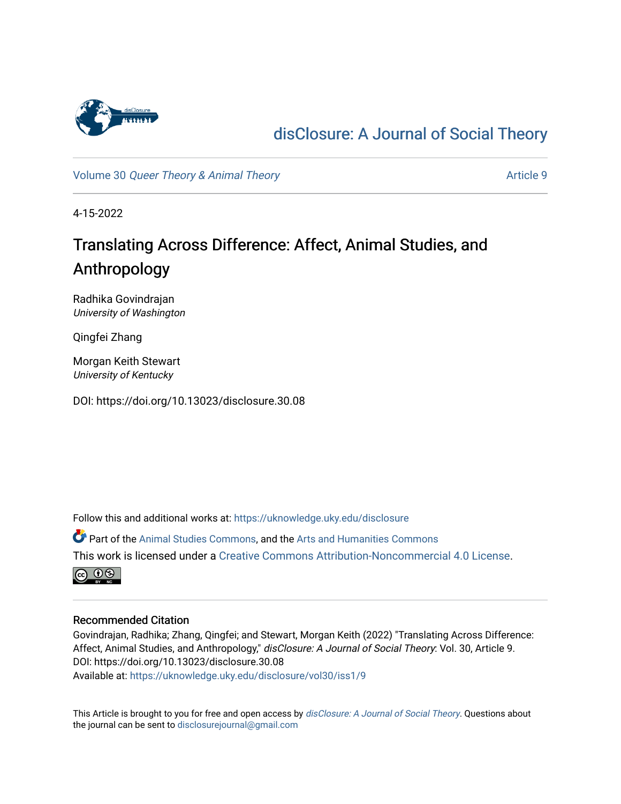

## [disClosure: A Journal of Social Theory](https://uknowledge.uky.edu/disclosure)

Volume 30 [Queer Theory & Animal Theory](https://uknowledge.uky.edu/disclosure/vol30) Article 9

4-15-2022

# Translating Across Difference: Affect, Animal Studies, and Anthropology

Radhika Govindrajan University of Washington

Qingfei Zhang

Morgan Keith Stewart University of Kentucky

DOI: https://doi.org/10.13023/disclosure.30.08

Follow this and additional works at: [https://uknowledge.uky.edu/disclosure](https://uknowledge.uky.edu/disclosure?utm_source=uknowledge.uky.edu%2Fdisclosure%2Fvol30%2Fiss1%2F9&utm_medium=PDF&utm_campaign=PDFCoverPages)

Part of the [Animal Studies Commons,](http://network.bepress.com/hgg/discipline/1306?utm_source=uknowledge.uky.edu%2Fdisclosure%2Fvol30%2Fiss1%2F9&utm_medium=PDF&utm_campaign=PDFCoverPages) and the [Arts and Humanities Commons](http://network.bepress.com/hgg/discipline/438?utm_source=uknowledge.uky.edu%2Fdisclosure%2Fvol30%2Fiss1%2F9&utm_medium=PDF&utm_campaign=PDFCoverPages) This work is licensed under a [Creative Commons Attribution-Noncommercial 4.0 License](https://creativecommons.org/licenses/by-nc/4.0/).



#### Recommended Citation

Govindrajan, Radhika; Zhang, Qingfei; and Stewart, Morgan Keith (2022) "Translating Across Difference: Affect, Animal Studies, and Anthropology," disClosure: A Journal of Social Theory: Vol. 30, Article 9. DOI: https://doi.org/10.13023/disclosure.30.08 Available at: [https://uknowledge.uky.edu/disclosure/vol30/iss1/9](https://uknowledge.uky.edu/disclosure/vol30/iss1/9?utm_source=uknowledge.uky.edu%2Fdisclosure%2Fvol30%2Fiss1%2F9&utm_medium=PDF&utm_campaign=PDFCoverPages)

This Article is brought to you for free and open access by [disClosure: A Journal of Social Theory](https://uknowledge.uky.edu/disclosure). Questions about the journal can be sent to [disclosurejournal@gmail.com](mailto:disclosurejournal@gmail.com)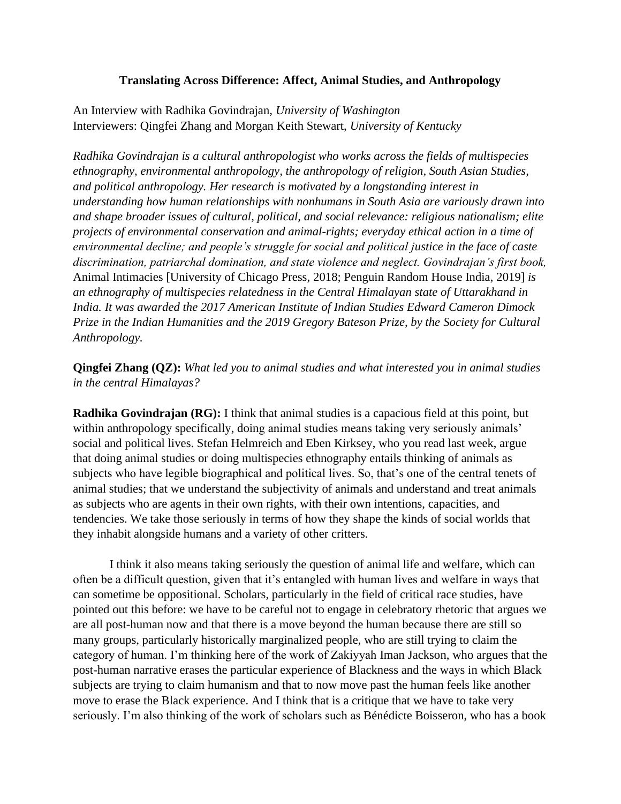#### **Translating Across Difference: Affect, Animal Studies, and Anthropology**

An Interview with Radhika Govindrajan, *University of Washington* Interviewers: Qingfei Zhang and Morgan Keith Stewart, *University of Kentucky*

*Radhika Govindrajan is a cultural anthropologist who works across the fields of multispecies ethnography, environmental anthropology, the anthropology of religion, South Asian Studies, and political anthropology. Her research is motivated by a longstanding interest in understanding how human relationships with nonhumans in South Asia are variously drawn into and shape broader issues of cultural, political, and social relevance: religious nationalism; elite projects of environmental conservation and animal-rights; everyday ethical action in a time of environmental decline; and people's struggle for social and political justice in the face of caste discrimination, patriarchal domination, and state violence and neglect. Govindrajan's first book,* Animal Intimacies [University of Chicago Press, 2018; Penguin Random House India, 2019] *is an ethnography of multispecies relatedness in the Central Himalayan state of Uttarakhand in India. It was awarded the 2017 American Institute of Indian Studies Edward Cameron Dimock Prize in the Indian Humanities and the 2019 Gregory Bateson Prize, by the Society for Cultural Anthropology.*

**Qingfei Zhang (QZ):** *What led you to animal studies and what interested you in animal studies in the central Himalayas?*

**Radhika Govindrajan (RG):** I think that animal studies is a capacious field at this point, but within anthropology specifically, doing animal studies means taking very seriously animals' social and political lives. Stefan Helmreich and Eben Kirksey, who you read last week, argue that doing animal studies or doing multispecies ethnography entails thinking of animals as subjects who have legible biographical and political lives. So, that's one of the central tenets of animal studies; that we understand the subjectivity of animals and understand and treat animals as subjects who are agents in their own rights, with their own intentions, capacities, and tendencies. We take those seriously in terms of how they shape the kinds of social worlds that they inhabit alongside humans and a variety of other critters.

I think it also means taking seriously the question of animal life and welfare, which can often be a difficult question, given that it's entangled with human lives and welfare in ways that can sometime be oppositional. Scholars, particularly in the field of critical race studies, have pointed out this before: we have to be careful not to engage in celebratory rhetoric that argues we are all post-human now and that there is a move beyond the human because there are still so many groups, particularly historically marginalized people, who are still trying to claim the category of human. I'm thinking here of the work of Zakiyyah Iman Jackson, who argues that the post-human narrative erases the particular experience of Blackness and the ways in which Black subjects are trying to claim humanism and that to now move past the human feels like another move to erase the Black experience. And I think that is a critique that we have to take very seriously. I'm also thinking of the work of scholars such as Bénédicte Boisseron, who has a book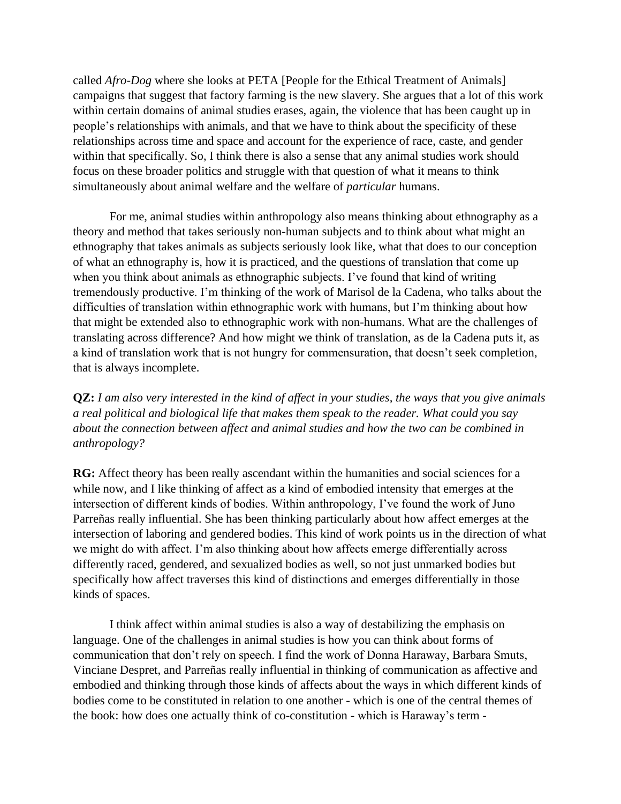called *Afro-Dog* where she looks at PETA [People for the Ethical Treatment of Animals] campaigns that suggest that factory farming is the new slavery. She argues that a lot of this work within certain domains of animal studies erases, again, the violence that has been caught up in people's relationships with animals, and that we have to think about the specificity of these relationships across time and space and account for the experience of race, caste, and gender within that specifically. So, I think there is also a sense that any animal studies work should focus on these broader politics and struggle with that question of what it means to think simultaneously about animal welfare and the welfare of *particular* humans.

For me, animal studies within anthropology also means thinking about ethnography as a theory and method that takes seriously non-human subjects and to think about what might an ethnography that takes animals as subjects seriously look like, what that does to our conception of what an ethnography is, how it is practiced, and the questions of translation that come up when you think about animals as ethnographic subjects. I've found that kind of writing tremendously productive. I'm thinking of the work of Marisol de la Cadena, who talks about the difficulties of translation within ethnographic work with humans, but I'm thinking about how that might be extended also to ethnographic work with non-humans. What are the challenges of translating across difference? And how might we think of translation, as de la Cadena puts it, as a kind of translation work that is not hungry for commensuration, that doesn't seek completion, that is always incomplete.

**QZ:** *I am also very interested in the kind of affect in your studies, the ways that you give animals a real political and biological life that makes them speak to the reader. What could you say about the connection between affect and animal studies and how the two can be combined in anthropology?*

**RG:** Affect theory has been really ascendant within the humanities and social sciences for a while now, and I like thinking of affect as a kind of embodied intensity that emerges at the intersection of different kinds of bodies. Within anthropology, I've found the work of Juno Parreñas really influential. She has been thinking particularly about how affect emerges at the intersection of laboring and gendered bodies. This kind of work points us in the direction of what we might do with affect. I'm also thinking about how affects emerge differentially across differently raced, gendered, and sexualized bodies as well, so not just unmarked bodies but specifically how affect traverses this kind of distinctions and emerges differentially in those kinds of spaces.

I think affect within animal studies is also a way of destabilizing the emphasis on language. One of the challenges in animal studies is how you can think about forms of communication that don't rely on speech. I find the work of Donna Haraway, Barbara Smuts, Vinciane Despret, and Parreñas really influential in thinking of communication as affective and embodied and thinking through those kinds of affects about the ways in which different kinds of bodies come to be constituted in relation to one another - which is one of the central themes of the book: how does one actually think of co-constitution - which is Haraway's term -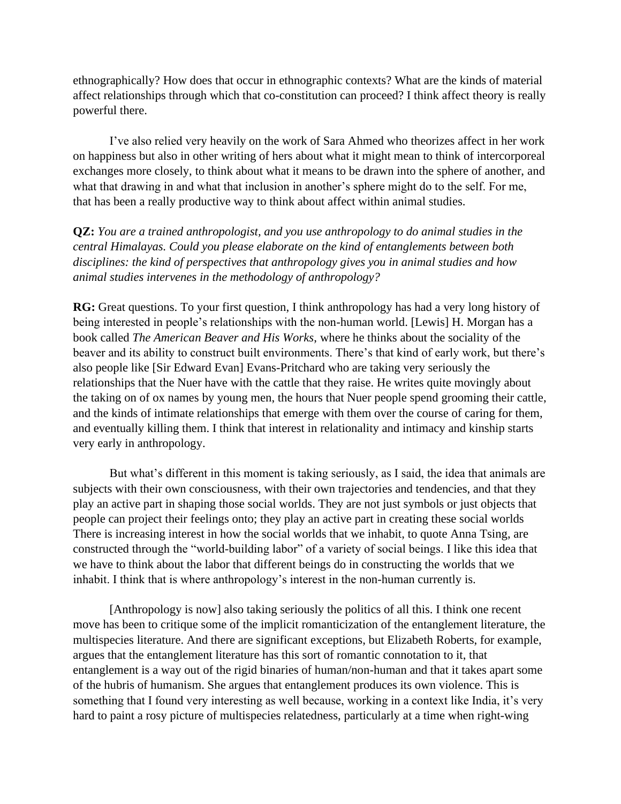ethnographically? How does that occur in ethnographic contexts? What are the kinds of material affect relationships through which that co-constitution can proceed? I think affect theory is really powerful there.

I've also relied very heavily on the work of Sara Ahmed who theorizes affect in her work on happiness but also in other writing of hers about what it might mean to think of intercorporeal exchanges more closely, to think about what it means to be drawn into the sphere of another, and what that drawing in and what that inclusion in another's sphere might do to the self. For me, that has been a really productive way to think about affect within animal studies.

**QZ:** *You are a trained anthropologist, and you use anthropology to do animal studies in the central Himalayas. Could you please elaborate on the kind of entanglements between both disciplines: the kind of perspectives that anthropology gives you in animal studies and how animal studies intervenes in the methodology of anthropology?*

**RG:** Great questions. To your first question, I think anthropology has had a very long history of being interested in people's relationships with the non-human world. [Lewis] H. Morgan has a book called *The American Beaver and His Works*, where he thinks about the sociality of the beaver and its ability to construct built environments. There's that kind of early work, but there's also people like [Sir Edward Evan] Evans-Pritchard who are taking very seriously the relationships that the Nuer have with the cattle that they raise. He writes quite movingly about the taking on of ox names by young men, the hours that Nuer people spend grooming their cattle, and the kinds of intimate relationships that emerge with them over the course of caring for them, and eventually killing them. I think that interest in relationality and intimacy and kinship starts very early in anthropology.

But what's different in this moment is taking seriously, as I said, the idea that animals are subjects with their own consciousness, with their own trajectories and tendencies, and that they play an active part in shaping those social worlds. They are not just symbols or just objects that people can project their feelings onto; they play an active part in creating these social worlds There is increasing interest in how the social worlds that we inhabit, to quote Anna Tsing, are constructed through the "world-building labor" of a variety of social beings. I like this idea that we have to think about the labor that different beings do in constructing the worlds that we inhabit. I think that is where anthropology's interest in the non-human currently is.

[Anthropology is now] also taking seriously the politics of all this. I think one recent move has been to critique some of the implicit romanticization of the entanglement literature, the multispecies literature. And there are significant exceptions, but Elizabeth Roberts, for example, argues that the entanglement literature has this sort of romantic connotation to it, that entanglement is a way out of the rigid binaries of human/non-human and that it takes apart some of the hubris of humanism. She argues that entanglement produces its own violence. This is something that I found very interesting as well because, working in a context like India, it's very hard to paint a rosy picture of multispecies relatedness, particularly at a time when right-wing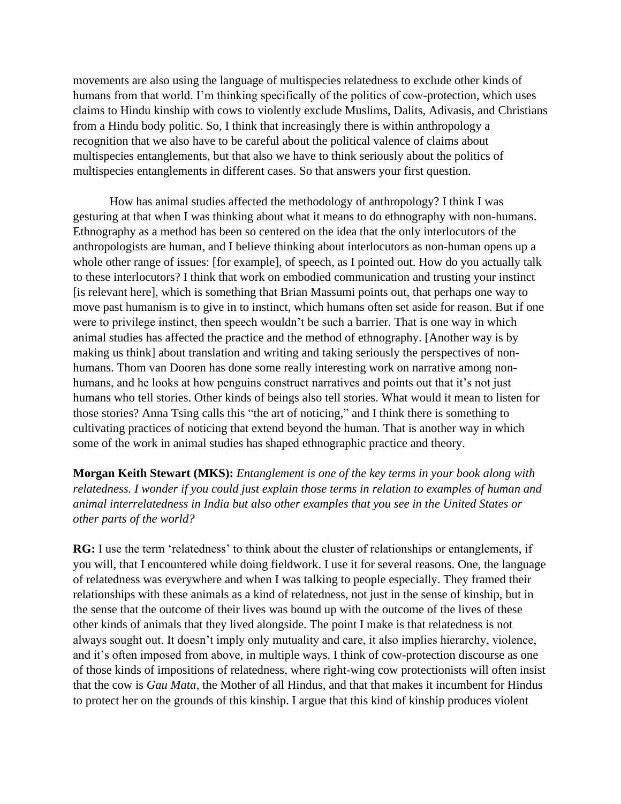movements are also using the language of multispecies relatedness to exclude other kinds of humans from that world. I'm thinking specifically of the politics of cow-protection, which uses claims to Hindu kinship with cows to violently exclude Muslims, Dalits, Adivasis, and Christians from a Hindu body politic. So, I think that increasingly there is within anthropology a recognition that we also have to be careful about the political valence of claims about multispecies entanglements, but that also we have to think seriously about the politics of multispecies entanglements in different cases. So that answers your first question.

How has animal studies affected the methodology of anthropology? I think I was gesturing at that when I was thinking about what it means to do ethnography with non-humans. Ethnography as a method has been so centered on the idea that the only interlocutors of the anthropologists are human, and I believe thinking about interlocutors as non-human opens up a whole other range of issues: [for example], of speech, as I pointed out. How do you actually talk to these interlocutors? I think that work on embodied communication and trusting your instinct [is relevant here], which is something that Brian Massumi points out, that perhaps one way to move past humanism is to give in to instinct, which humans often set aside for reason. But if one were to privilege instinct, then speech wouldn't be such a barrier. That is one way in which animal studies has affected the practice and the method of ethnography. [Another way is by making us think] about translation and writing and taking seriously the perspectives of nonhumans. Thom van Dooren has done some really interesting work on narrative among nonhumans, and he looks at how penguins construct narratives and points out that it's not just humans who tell stories. Other kinds of beings also tell stories. What would it mean to listen for those stories? Anna Tsing calls this "the art of noticing," and I think there is something to cultivating practices of noticing that extend beyond the human. That is another way in which some of the work in animal studies has shaped ethnographic practice and theory.

**Morgan Keith Stewart (MKS):** *Entanglement is one of the key terms in your book along with relatedness. I wonder if you could just explain those terms in relation to examples of human and animal interrelatedness in India but also other examples that you see in the United States or other parts of the world?*

**RG:** I use the term 'relatedness' to think about the cluster of relationships or entanglements, if you will, that I encountered while doing fieldwork. I use it for several reasons. One, the language of relatedness was everywhere and when I was talking to people especially. They framed their relationships with these animals as a kind of relatedness, not just in the sense of kinship, but in the sense that the outcome of their lives was bound up with the outcome of the lives of these other kinds of animals that they lived alongside. The point I make is that relatedness is not always sought out. It doesn't imply only mutuality and care, it also implies hierarchy, violence, and it's often imposed from above, in multiple ways. I think of cow-protection discourse as one of those kinds of impositions of relatedness, where right-wing cow protectionists will often insist that the cow is *Gau Mata*, the Mother of all Hindus, and that that makes it incumbent for Hindus to protect her on the grounds of this kinship. I argue that this kind of kinship produces violent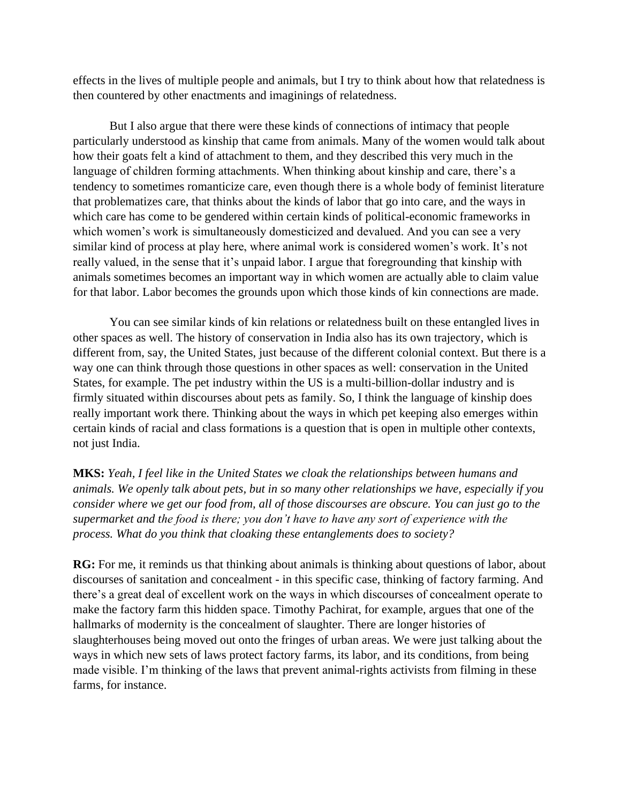effects in the lives of multiple people and animals, but I try to think about how that relatedness is then countered by other enactments and imaginings of relatedness.

But I also argue that there were these kinds of connections of intimacy that people particularly understood as kinship that came from animals. Many of the women would talk about how their goats felt a kind of attachment to them, and they described this very much in the language of children forming attachments. When thinking about kinship and care, there's a tendency to sometimes romanticize care, even though there is a whole body of feminist literature that problematizes care, that thinks about the kinds of labor that go into care, and the ways in which care has come to be gendered within certain kinds of political-economic frameworks in which women's work is simultaneously domesticized and devalued. And you can see a very similar kind of process at play here, where animal work is considered women's work. It's not really valued, in the sense that it's unpaid labor. I argue that foregrounding that kinship with animals sometimes becomes an important way in which women are actually able to claim value for that labor. Labor becomes the grounds upon which those kinds of kin connections are made.

You can see similar kinds of kin relations or relatedness built on these entangled lives in other spaces as well. The history of conservation in India also has its own trajectory, which is different from, say, the United States, just because of the different colonial context. But there is a way one can think through those questions in other spaces as well: conservation in the United States, for example. The pet industry within the US is a multi-billion-dollar industry and is firmly situated within discourses about pets as family. So, I think the language of kinship does really important work there. Thinking about the ways in which pet keeping also emerges within certain kinds of racial and class formations is a question that is open in multiple other contexts, not just India.

**MKS:** *Yeah, I feel like in the United States we cloak the relationships between humans and animals. We openly talk about pets, but in so many other relationships we have, especially if you consider where we get our food from, all of those discourses are obscure. You can just go to the supermarket and the food is there; you don't have to have any sort of experience with the process. What do you think that cloaking these entanglements does to society?*

**RG:** For me, it reminds us that thinking about animals is thinking about questions of labor, about discourses of sanitation and concealment - in this specific case, thinking of factory farming. And there's a great deal of excellent work on the ways in which discourses of concealment operate to make the factory farm this hidden space. Timothy Pachirat, for example, argues that one of the hallmarks of modernity is the concealment of slaughter. There are longer histories of slaughterhouses being moved out onto the fringes of urban areas. We were just talking about the ways in which new sets of laws protect factory farms, its labor, and its conditions, from being made visible. I'm thinking of the laws that prevent animal-rights activists from filming in these farms, for instance.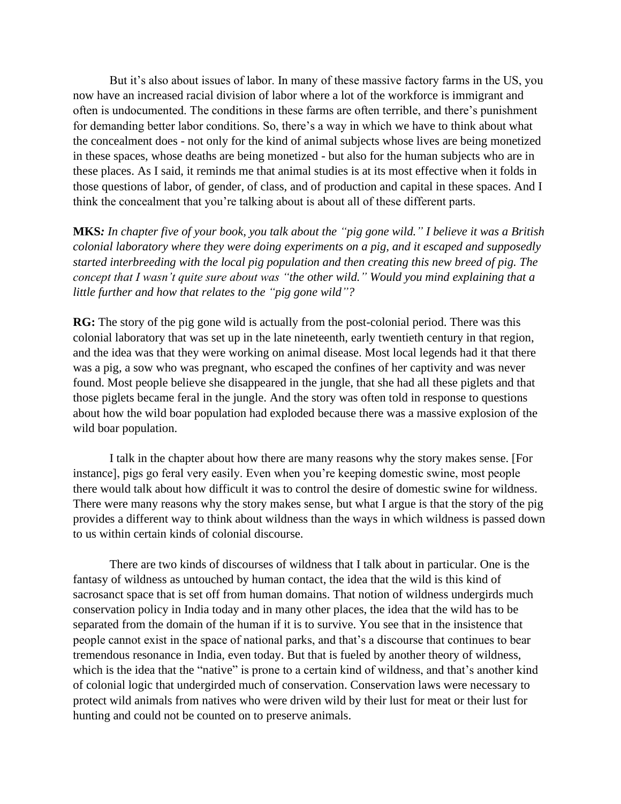But it's also about issues of labor. In many of these massive factory farms in the US, you now have an increased racial division of labor where a lot of the workforce is immigrant and often is undocumented. The conditions in these farms are often terrible, and there's punishment for demanding better labor conditions. So, there's a way in which we have to think about what the concealment does - not only for the kind of animal subjects whose lives are being monetized in these spaces, whose deaths are being monetized - but also for the human subjects who are in these places. As I said, it reminds me that animal studies is at its most effective when it folds in those questions of labor, of gender, of class, and of production and capital in these spaces. And I think the concealment that you're talking about is about all of these different parts.

**MKS***: In chapter five of your book, you talk about the "pig gone wild." I believe it was a British colonial laboratory where they were doing experiments on a pig, and it escaped and supposedly started interbreeding with the local pig population and then creating this new breed of pig. The concept that I wasn't quite sure about was "the other wild." Would you mind explaining that a little further and how that relates to the "pig gone wild"?*

**RG:** The story of the pig gone wild is actually from the post-colonial period. There was this colonial laboratory that was set up in the late nineteenth, early twentieth century in that region, and the idea was that they were working on animal disease. Most local legends had it that there was a pig, a sow who was pregnant, who escaped the confines of her captivity and was never found. Most people believe she disappeared in the jungle, that she had all these piglets and that those piglets became feral in the jungle. And the story was often told in response to questions about how the wild boar population had exploded because there was a massive explosion of the wild boar population.

I talk in the chapter about how there are many reasons why the story makes sense. [For instance], pigs go feral very easily. Even when you're keeping domestic swine, most people there would talk about how difficult it was to control the desire of domestic swine for wildness. There were many reasons why the story makes sense, but what I argue is that the story of the pig provides a different way to think about wildness than the ways in which wildness is passed down to us within certain kinds of colonial discourse.

There are two kinds of discourses of wildness that I talk about in particular. One is the fantasy of wildness as untouched by human contact, the idea that the wild is this kind of sacrosanct space that is set off from human domains. That notion of wildness undergirds much conservation policy in India today and in many other places, the idea that the wild has to be separated from the domain of the human if it is to survive. You see that in the insistence that people cannot exist in the space of national parks, and that's a discourse that continues to bear tremendous resonance in India, even today. But that is fueled by another theory of wildness, which is the idea that the "native" is prone to a certain kind of wildness, and that's another kind of colonial logic that undergirded much of conservation. Conservation laws were necessary to protect wild animals from natives who were driven wild by their lust for meat or their lust for hunting and could not be counted on to preserve animals.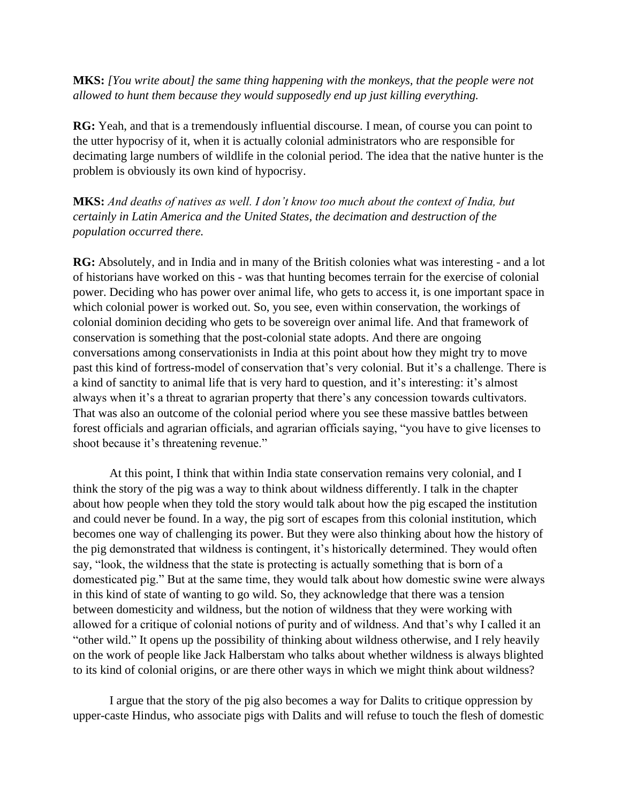**MKS:** *[You write about] the same thing happening with the monkeys, that the people were not allowed to hunt them because they would supposedly end up just killing everything.*

**RG:** Yeah, and that is a tremendously influential discourse. I mean, of course you can point to the utter hypocrisy of it, when it is actually colonial administrators who are responsible for decimating large numbers of wildlife in the colonial period. The idea that the native hunter is the problem is obviously its own kind of hypocrisy.

**MKS:** *And deaths of natives as well. I don't know too much about the context of India, but certainly in Latin America and the United States, the decimation and destruction of the population occurred there.*

**RG:** Absolutely, and in India and in many of the British colonies what was interesting - and a lot of historians have worked on this - was that hunting becomes terrain for the exercise of colonial power. Deciding who has power over animal life, who gets to access it, is one important space in which colonial power is worked out. So, you see, even within conservation, the workings of colonial dominion deciding who gets to be sovereign over animal life. And that framework of conservation is something that the post-colonial state adopts. And there are ongoing conversations among conservationists in India at this point about how they might try to move past this kind of fortress-model of conservation that's very colonial. But it's a challenge. There is a kind of sanctity to animal life that is very hard to question, and it's interesting: it's almost always when it's a threat to agrarian property that there's any concession towards cultivators. That was also an outcome of the colonial period where you see these massive battles between forest officials and agrarian officials, and agrarian officials saying, "you have to give licenses to shoot because it's threatening revenue."

At this point, I think that within India state conservation remains very colonial, and I think the story of the pig was a way to think about wildness differently. I talk in the chapter about how people when they told the story would talk about how the pig escaped the institution and could never be found. In a way, the pig sort of escapes from this colonial institution, which becomes one way of challenging its power. But they were also thinking about how the history of the pig demonstrated that wildness is contingent, it's historically determined. They would often say, "look, the wildness that the state is protecting is actually something that is born of a domesticated pig." But at the same time, they would talk about how domestic swine were always in this kind of state of wanting to go wild. So, they acknowledge that there was a tension between domesticity and wildness, but the notion of wildness that they were working with allowed for a critique of colonial notions of purity and of wildness. And that's why I called it an "other wild." It opens up the possibility of thinking about wildness otherwise, and I rely heavily on the work of people like Jack Halberstam who talks about whether wildness is always blighted to its kind of colonial origins, or are there other ways in which we might think about wildness?

I argue that the story of the pig also becomes a way for Dalits to critique oppression by upper-caste Hindus, who associate pigs with Dalits and will refuse to touch the flesh of domestic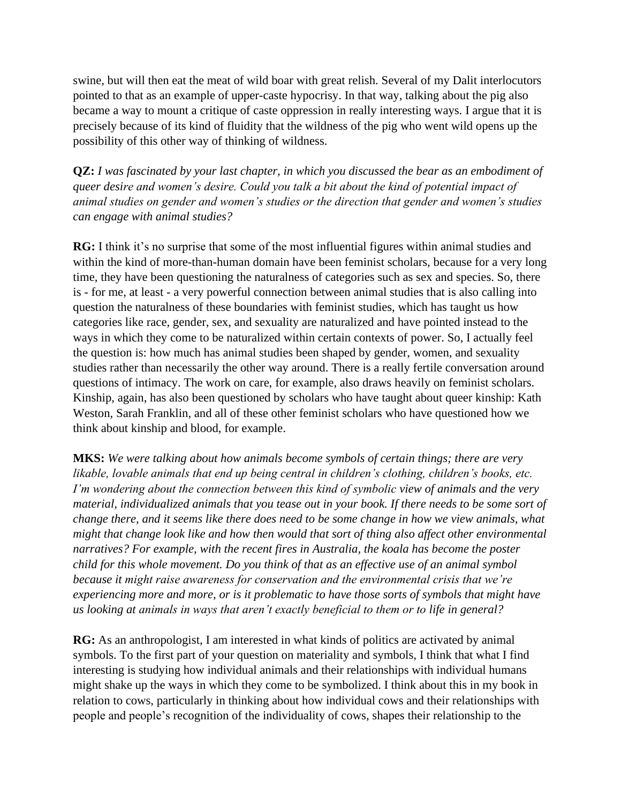swine, but will then eat the meat of wild boar with great relish. Several of my Dalit interlocutors pointed to that as an example of upper-caste hypocrisy. In that way, talking about the pig also became a way to mount a critique of caste oppression in really interesting ways. I argue that it is precisely because of its kind of fluidity that the wildness of the pig who went wild opens up the possibility of this other way of thinking of wildness.

**QZ:** *I was fascinated by your last chapter, in which you discussed the bear as an embodiment of queer desire and women's desire. Could you talk a bit about the kind of potential impact of animal studies on gender and women's studies or the direction that gender and women's studies can engage with animal studies?*

**RG:** I think it's no surprise that some of the most influential figures within animal studies and within the kind of more-than-human domain have been feminist scholars, because for a very long time, they have been questioning the naturalness of categories such as sex and species. So, there is - for me, at least - a very powerful connection between animal studies that is also calling into question the naturalness of these boundaries with feminist studies, which has taught us how categories like race, gender, sex, and sexuality are naturalized and have pointed instead to the ways in which they come to be naturalized within certain contexts of power. So, I actually feel the question is: how much has animal studies been shaped by gender, women, and sexuality studies rather than necessarily the other way around. There is a really fertile conversation around questions of intimacy. The work on care, for example, also draws heavily on feminist scholars. Kinship, again, has also been questioned by scholars who have taught about queer kinship: Kath Weston, Sarah Franklin, and all of these other feminist scholars who have questioned how we think about kinship and blood, for example.

**MKS:** *We were talking about how animals become symbols of certain things; there are very likable, lovable animals that end up being central in children's clothing, children's books, etc. I'm wondering about the connection between this kind of symbolic view of animals and the very material, individualized animals that you tease out in your book. If there needs to be some sort of change there, and it seems like there does need to be some change in how we view animals, what might that change look like and how then would that sort of thing also affect other environmental narratives? For example, with the recent fires in Australia, the koala has become the poster child for this whole movement. Do you think of that as an effective use of an animal symbol because it might raise awareness for conservation and the environmental crisis that we're experiencing more and more, or is it problematic to have those sorts of symbols that might have us looking at animals in ways that aren't exactly beneficial to them or to life in general?*

**RG:** As an anthropologist, I am interested in what kinds of politics are activated by animal symbols. To the first part of your question on materiality and symbols, I think that what I find interesting is studying how individual animals and their relationships with individual humans might shake up the ways in which they come to be symbolized. I think about this in my book in relation to cows, particularly in thinking about how individual cows and their relationships with people and people's recognition of the individuality of cows, shapes their relationship to the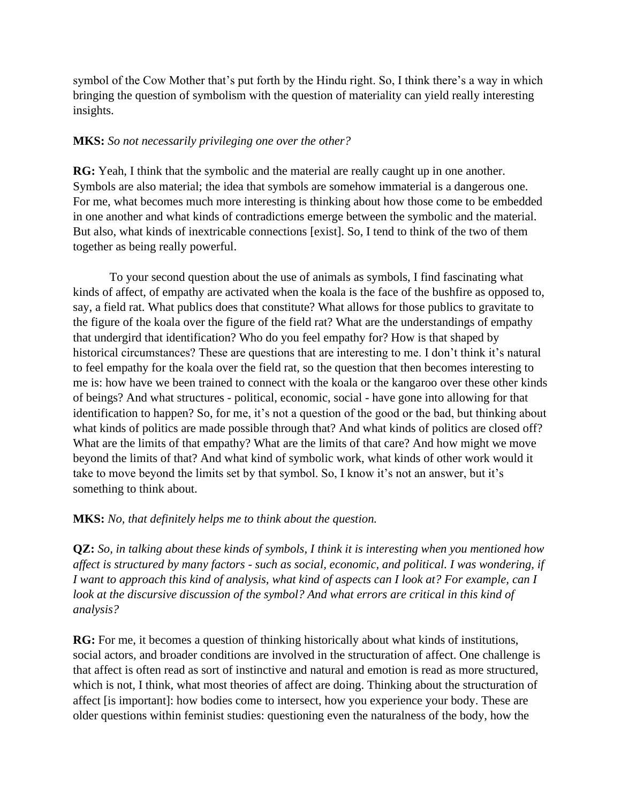symbol of the Cow Mother that's put forth by the Hindu right. So, I think there's a way in which bringing the question of symbolism with the question of materiality can yield really interesting insights.

#### **MKS:** *So not necessarily privileging one over the other?*

**RG:** Yeah, I think that the symbolic and the material are really caught up in one another. Symbols are also material; the idea that symbols are somehow immaterial is a dangerous one. For me, what becomes much more interesting is thinking about how those come to be embedded in one another and what kinds of contradictions emerge between the symbolic and the material. But also, what kinds of inextricable connections [exist]. So, I tend to think of the two of them together as being really powerful.

To your second question about the use of animals as symbols, I find fascinating what kinds of affect, of empathy are activated when the koala is the face of the bushfire as opposed to, say, a field rat. What publics does that constitute? What allows for those publics to gravitate to the figure of the koala over the figure of the field rat? What are the understandings of empathy that undergird that identification? Who do you feel empathy for? How is that shaped by historical circumstances? These are questions that are interesting to me. I don't think it's natural to feel empathy for the koala over the field rat, so the question that then becomes interesting to me is: how have we been trained to connect with the koala or the kangaroo over these other kinds of beings? And what structures - political, economic, social - have gone into allowing for that identification to happen? So, for me, it's not a question of the good or the bad, but thinking about what kinds of politics are made possible through that? And what kinds of politics are closed off? What are the limits of that empathy? What are the limits of that care? And how might we move beyond the limits of that? And what kind of symbolic work, what kinds of other work would it take to move beyond the limits set by that symbol. So, I know it's not an answer, but it's something to think about.

### **MKS:** *No, that definitely helps me to think about the question.*

**QZ:** *So, in talking about these kinds of symbols, I think it is interesting when you mentioned how affect is structured by many factors - such as social, economic, and political. I was wondering, if I want to approach this kind of analysis, what kind of aspects can I look at? For example, can I look at the discursive discussion of the symbol? And what errors are critical in this kind of analysis?*

**RG:** For me, it becomes a question of thinking historically about what kinds of institutions, social actors, and broader conditions are involved in the structuration of affect. One challenge is that affect is often read as sort of instinctive and natural and emotion is read as more structured, which is not, I think, what most theories of affect are doing. Thinking about the structuration of affect [is important]: how bodies come to intersect, how you experience your body. These are older questions within feminist studies: questioning even the naturalness of the body, how the